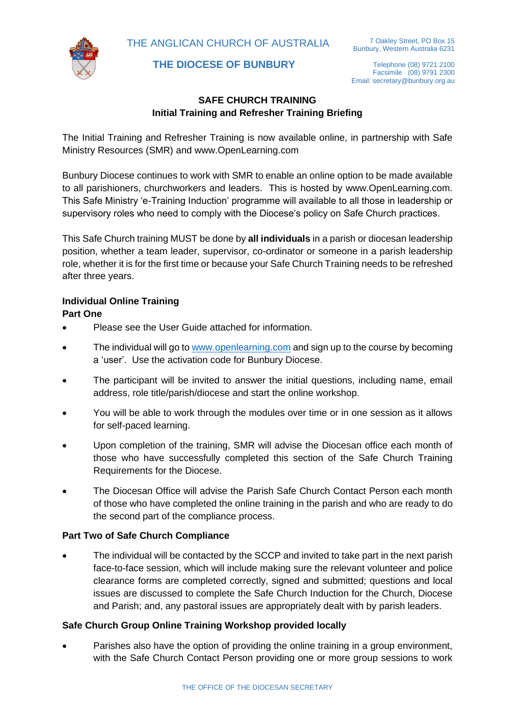THE ANGLICAN CHURCH OF AUSTRALIA



 **THE DIOCESE OF BUNBURY**

Telephone (08) 9721 2100 Facsimile (08) 9791 2300 Email: secretary@bunbury.org.au

# **SAFE CHURCH TRAINING Initial Training and Refresher Training Briefing**

The Initial Training and Refresher Training is now available online, in partnership with Safe Ministry Resources (SMR) and www.OpenLearning.com

Bunbury Diocese continues to work with SMR to enable an online option to be made available to all parishioners, churchworkers and leaders. This is hosted by www.OpenLearning.com. This Safe Ministry 'e-Training Induction' programme will available to all those in leadership or supervisory roles who need to comply with the Diocese's policy on Safe Church practices.

This Safe Church training MUST be done by **all individuals** in a parish or diocesan leadership position, whether a team leader, supervisor, co-ordinator or someone in a parish leadership role, whether it is for the first time or because your Safe Church Training needs to be refreshed after three years.

### **Individual Online Training Part One**

- Please see the User Guide attached for information.
- The individual will go to [www.openlearning.com](http://www.openlearning.com/) and sign up to the course by becoming a 'user'. Use the activation code for Bunbury Diocese.
- The participant will be invited to answer the initial questions, including name, email address, role title/parish/diocese and start the online workshop.
- You will be able to work through the modules over time or in one session as it allows for self-paced learning.
- Upon completion of the training, SMR will advise the Diocesan office each month of those who have successfully completed this section of the Safe Church Training Requirements for the Diocese.
- The Diocesan Office will advise the Parish Safe Church Contact Person each month of those who have completed the online training in the parish and who are ready to do the second part of the compliance process.

# **Part Two of Safe Church Compliance**

The individual will be contacted by the SCCP and invited to take part in the next parish face-to-face session, which will include making sure the relevant volunteer and police clearance forms are completed correctly, signed and submitted; questions and local issues are discussed to complete the Safe Church Induction for the Church, Diocese and Parish; and, any pastoral issues are appropriately dealt with by parish leaders.

# **Safe Church Group Online Training Workshop provided locally**

• Parishes also have the option of providing the online training in a group environment, with the Safe Church Contact Person providing one or more group sessions to work